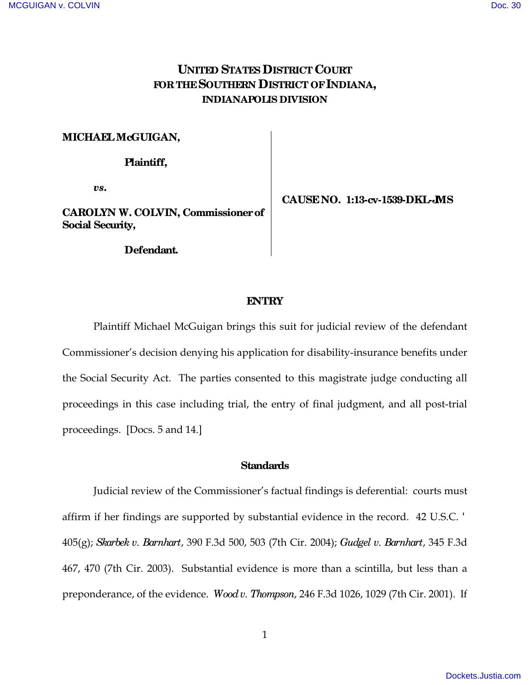# **UNITED STATES DISTRICT COURT FOR THE SOUTHERN DISTRICT OF INDIANA, INDIANAPOLIS DIVISION**

### **MICHAEL McGUIGAN,**

 **Plaintiff,** 

*vs***.** 

**CAROLYN W. COLVIN, Commissioner of Social Security,** 

 **Defendant.**

 **CAUSE NO. 1:13-cv-1539-DKL-JMS**

### **ENTRY**

Plaintiff Michael McGuigan brings this suit for judicial review of the defendant Commissioner's decision denying his application for disability-insurance benefits under the Social Security Act. The parties consented to this magistrate judge conducting all proceedings in this case including trial, the entry of final judgment, and all post-trial proceedings. [Docs. 5 and 14.]

### **Standards**

Judicial review of the Commissioner's factual findings is deferential: courts must affirm if her findings are supported by substantial evidence in the record. 42 U.S.C. 405(g); *Skarbek v. Barnhart*, 390 F.3d 500, 503 (7th Cir. 2004); *Gudgel v. Barnhart*, 345 F.3d 467, 470 (7th Cir. 2003). Substantial evidence is more than a scintilla, but less than a preponderance, of the evidence. *Wood v. Thompson*, 246 F.3d 1026, 1029 (7th Cir. 2001). If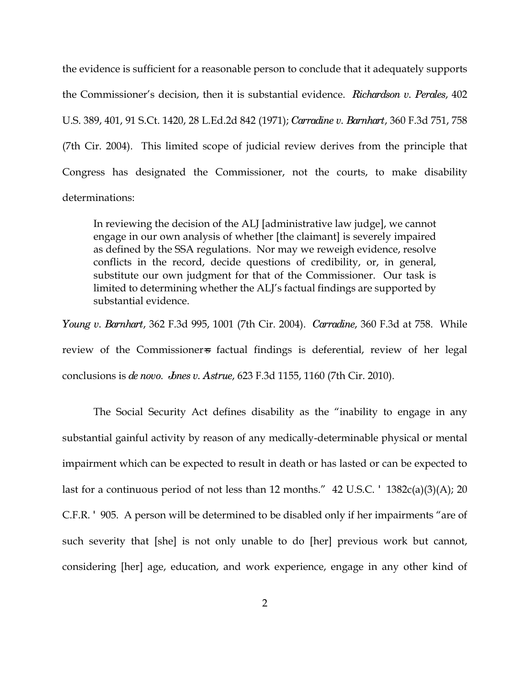the evidence is sufficient for a reasonable person to conclude that it adequately supports the Commissioner's decision, then it is substantial evidence. *Richardson v. Perales*, 402 U.S. 389, 401, 91 S.Ct. 1420, 28 L.Ed.2d 842 (1971); *Carradine v. Barnhart*, 360 F.3d 751, 758 (7th Cir. 2004). This limited scope of judicial review derives from the principle that Congress has designated the Commissioner, not the courts, to make disability determinations:

In reviewing the decision of the ALJ [administrative law judge], we cannot engage in our own analysis of whether [the claimant] is severely impaired as defined by the SSA regulations. Nor may we reweigh evidence, resolve conflicts in the record, decide questions of credibility, or, in general, substitute our own judgment for that of the Commissioner. Our task is limited to determining whether the ALJ's factual findings are supported by substantial evidence.

*Young v. Barnhart*, 362 F.3d 995, 1001 (7th Cir. 2004). *Carradine*, 360 F.3d at 758. While review of the Commissioner affectual findings is deferential, review of her legal conclusions is *de novo*. *Jones v. Astrue*, 623 F.3d 1155, 1160 (7th Cir. 2010).

The Social Security Act defines disability as the "inability to engage in any substantial gainful activity by reason of any medically-determinable physical or mental impairment which can be expected to result in death or has lasted or can be expected to last for a continuous period of not less than 12 months."  $42 \text{ U.S.C.}$   $1382c(a)(3)(A)$ ; 20 C.F.R. 905. A person will be determined to be disabled only if her impairments "are of such severity that [she] is not only unable to do [her] previous work but cannot, considering [her] age, education, and work experience, engage in any other kind of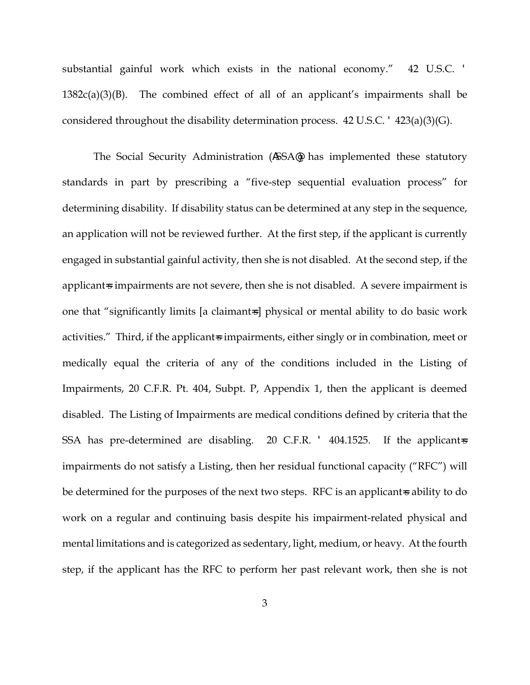substantial gainful work which exists in the national economy." 42 U.S.C.  $1382c(a)(3)(B)$ . The combined effect of all of an applicant's impairments shall be considered throughout the disability determination process. 42 U.S.C. 423(a)(3)(G).

The Social Security Administration ( SSA ) has implemented these statutory standards in part by prescribing a "five-step sequential evaluation process" for determining disability. If disability status can be determined at any step in the sequence, an application will not be reviewed further. At the first step, if the applicant is currently engaged in substantial gainful activity, then she is not disabled. At the second step, if the applicant  $\pm$  impairments are not severe, then she is not disabled. A severe impairment is one that "significantly limits [a claimant=s] physical or mental ability to do basic work activities." Third, if the applicant is impairments, either singly or in combination, meet or medically equal the criteria of any of the conditions included in the Listing of Impairments, 20 C.F.R. Pt. 404, Subpt. P, Appendix 1, then the applicant is deemed disabled. The Listing of Impairments are medical conditions defined by criteria that the SSA has pre-determined are disabling. 20 C.F.R.  $\,$  404.1525. If the applicant  $\,$ impairments do not satisfy a Listing, then her residual functional capacity ("RFC") will be determined for the purposes of the next two steps. RFC is an applicant  $\ast$  ability to do work on a regular and continuing basis despite his impairment-related physical and mental limitations and is categorized as sedentary, light, medium, or heavy. At the fourth step, if the applicant has the RFC to perform her past relevant work, then she is not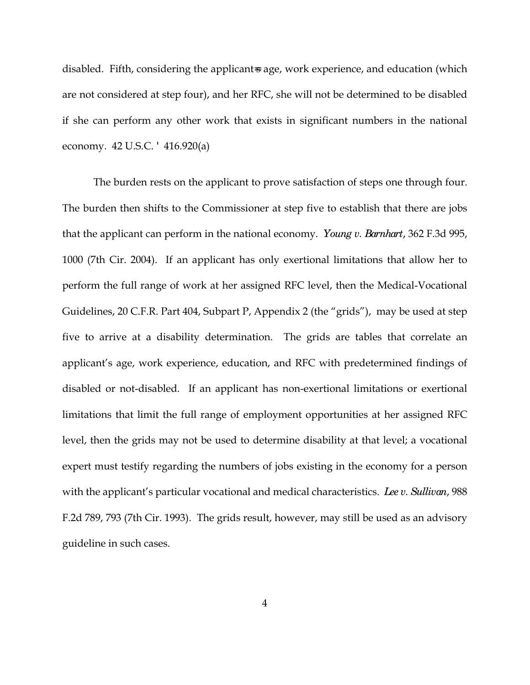disabled. Fifth, considering the applicant age, work experience, and education (which are not considered at step four), and her RFC, she will not be determined to be disabled if she can perform any other work that exists in significant numbers in the national economy. 42 U.S.C. 416.920(a)

The burden rests on the applicant to prove satisfaction of steps one through four. The burden then shifts to the Commissioner at step five to establish that there are jobs that the applicant can perform in the national economy. *Young v. Barnhart*, 362 F.3d 995, 1000 (7th Cir. 2004). If an applicant has only exertional limitations that allow her to perform the full range of work at her assigned RFC level, then the Medical-Vocational Guidelines, 20 C.F.R. Part 404, Subpart P, Appendix 2 (the "grids"), may be used at step five to arrive at a disability determination. The grids are tables that correlate an applicant's age, work experience, education, and RFC with predetermined findings of disabled or not-disabled. If an applicant has non-exertional limitations or exertional limitations that limit the full range of employment opportunities at her assigned RFC level, then the grids may not be used to determine disability at that level; a vocational expert must testify regarding the numbers of jobs existing in the economy for a person with the applicant's particular vocational and medical characteristics. *Lee v. Sullivan*, 988 F.2d 789, 793 (7th Cir. 1993). The grids result, however, may still be used as an advisory guideline in such cases.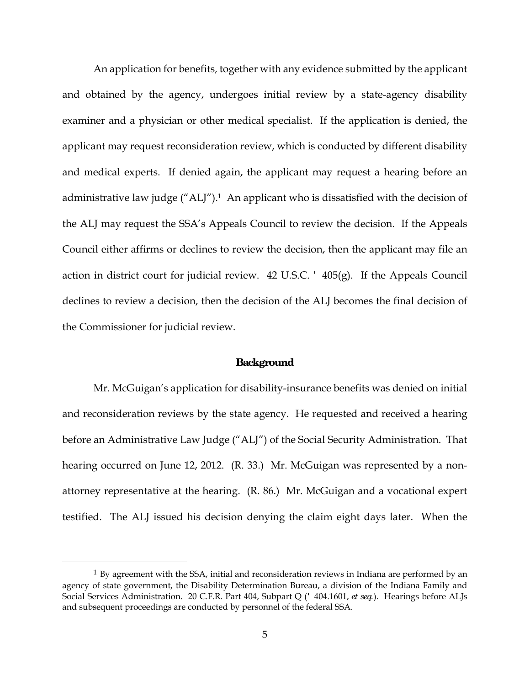An application for benefits, together with any evidence submitted by the applicant and obtained by the agency, undergoes initial review by a state-agency disability examiner and a physician or other medical specialist. If the application is denied, the applicant may request reconsideration review, which is conducted by different disability and medical experts. If denied again, the applicant may request a hearing before an administrative law judge ("ALJ").<sup>1</sup> An applicant who is dissatisfied with the decision of the ALJ may request the SSA's Appeals Council to review the decision. If the Appeals Council either affirms or declines to review the decision, then the applicant may file an action in district court for judicial review. 42 U.S.C. 405(g). If the Appeals Council declines to review a decision, then the decision of the ALJ becomes the final decision of the Commissioner for judicial review.

#### **Background**

Mr. McGuigan's application for disability-insurance benefits was denied on initial and reconsideration reviews by the state agency. He requested and received a hearing before an Administrative Law Judge ("ALJ") of the Social Security Administration. That hearing occurred on June 12, 2012. (R. 33.) Mr. McGuigan was represented by a nonattorney representative at the hearing. (R. 86.) Mr. McGuigan and a vocational expert testified. The ALJ issued his decision denying the claim eight days later. When the

-

 $1$  By agreement with the SSA, initial and reconsideration reviews in Indiana are performed by an agency of state government, the Disability Determination Bureau, a division of the Indiana Family and Social Services Administration. 20 C.F.R. Part 404, Subpart Q ( 404.1601, *et seq.*). Hearings before ALJs and subsequent proceedings are conducted by personnel of the federal SSA.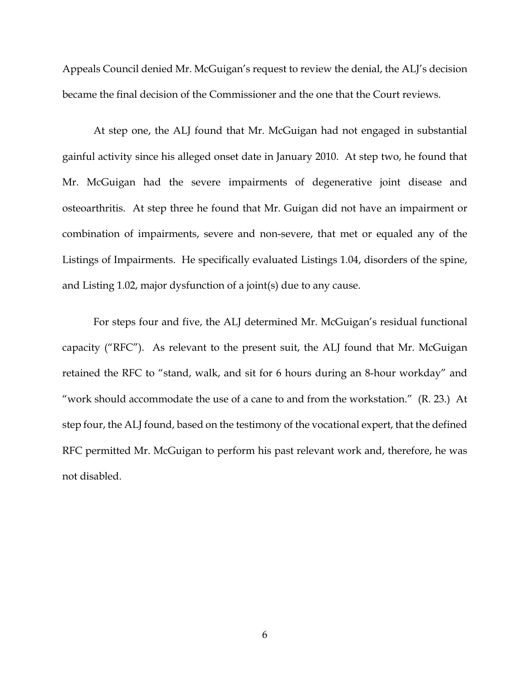Appeals Council denied Mr. McGuigan's request to review the denial, the ALJ's decision became the final decision of the Commissioner and the one that the Court reviews.

At step one, the ALJ found that Mr. McGuigan had not engaged in substantial gainful activity since his alleged onset date in January 2010. At step two, he found that Mr. McGuigan had the severe impairments of degenerative joint disease and osteoarthritis. At step three he found that Mr. Guigan did not have an impairment or combination of impairments, severe and non-severe, that met or equaled any of the Listings of Impairments. He specifically evaluated Listings 1.04, disorders of the spine, and Listing 1.02, major dysfunction of a joint(s) due to any cause.

For steps four and five, the ALJ determined Mr. McGuigan's residual functional capacity ("RFC"). As relevant to the present suit, the ALJ found that Mr. McGuigan retained the RFC to "stand, walk, and sit for 6 hours during an 8-hour workday" and "work should accommodate the use of a cane to and from the workstation." (R. 23.) At step four, the ALJ found, based on the testimony of the vocational expert, that the defined RFC permitted Mr. McGuigan to perform his past relevant work and, therefore, he was not disabled.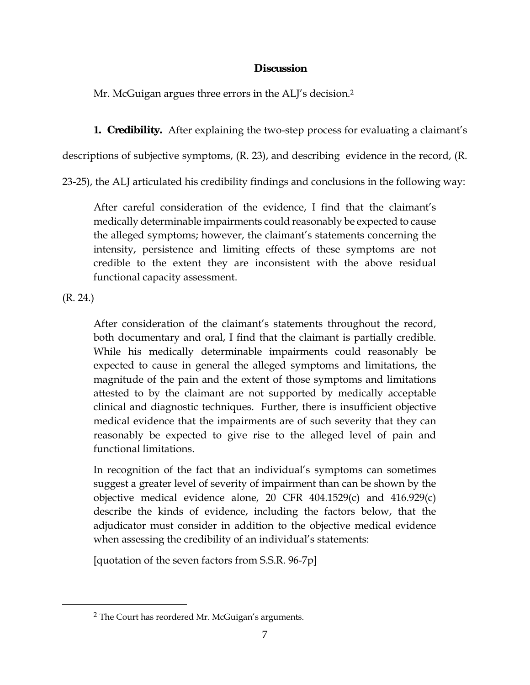## **Discussion**

Mr. McGuigan argues three errors in the ALJ's decision.<sup>2</sup>

**1. Credibility.** After explaining the two-step process for evaluating a claimant's

descriptions of subjective symptoms, (R. 23), and describing evidence in the record, (R.

23-25), the ALJ articulated his credibility findings and conclusions in the following way:

After careful consideration of the evidence, I find that the claimant's medically determinable impairments could reasonably be expected to cause the alleged symptoms; however, the claimant's statements concerning the intensity, persistence and limiting effects of these symptoms are not credible to the extent they are inconsistent with the above residual functional capacity assessment.

(R. 24.)

-

After consideration of the claimant's statements throughout the record, both documentary and oral, I find that the claimant is partially credible. While his medically determinable impairments could reasonably be expected to cause in general the alleged symptoms and limitations, the magnitude of the pain and the extent of those symptoms and limitations attested to by the claimant are not supported by medically acceptable clinical and diagnostic techniques. Further, there is insufficient objective medical evidence that the impairments are of such severity that they can reasonably be expected to give rise to the alleged level of pain and functional limitations.

In recognition of the fact that an individual's symptoms can sometimes suggest a greater level of severity of impairment than can be shown by the objective medical evidence alone, 20 CFR 404.1529(c) and 416.929(c) describe the kinds of evidence, including the factors below, that the adjudicator must consider in addition to the objective medical evidence when assessing the credibility of an individual's statements:

[quotation of the seven factors from S.S.R. 96-7p]

<sup>2</sup> The Court has reordered Mr. McGuigan's arguments.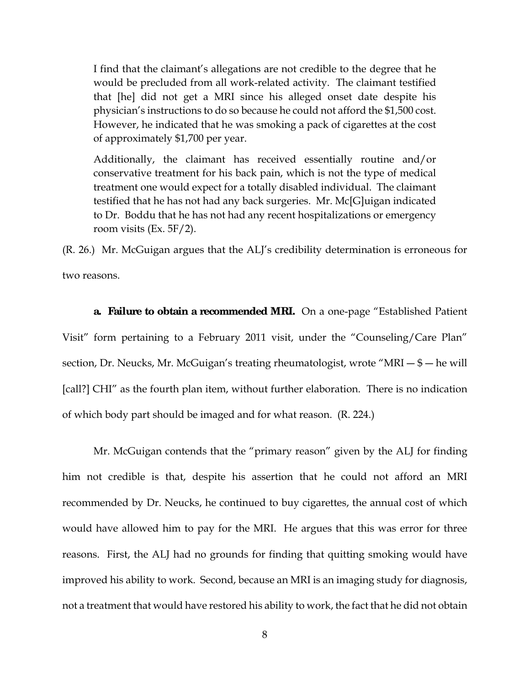I find that the claimant's allegations are not credible to the degree that he would be precluded from all work-related activity. The claimant testified that [he] did not get a MRI since his alleged onset date despite his physician's instructions to do so because he could not afford the \$1,500 cost. However, he indicated that he was smoking a pack of cigarettes at the cost of approximately \$1,700 per year.

Additionally, the claimant has received essentially routine and/or conservative treatment for his back pain, which is not the type of medical treatment one would expect for a totally disabled individual. The claimant testified that he has not had any back surgeries. Mr. Mc[G]uigan indicated to Dr. Boddu that he has not had any recent hospitalizations or emergency room visits (Ex. 5F/2).

(R. 26.) Mr. McGuigan argues that the ALJ's credibility determination is erroneous for two reasons.

**a. Failure to obtain a recommended MRI.** On a one-page "Established Patient Visit" form pertaining to a February 2011 visit, under the "Counseling/Care Plan" section, Dr. Neucks, Mr. McGuigan's treating rheumatologist, wrote "MRI  $-\$$  — he will [call?] CHI" as the fourth plan item, without further elaboration. There is no indication of which body part should be imaged and for what reason. (R. 224.)

 Mr. McGuigan contends that the "primary reason" given by the ALJ for finding him not credible is that, despite his assertion that he could not afford an MRI recommended by Dr. Neucks, he continued to buy cigarettes, the annual cost of which would have allowed him to pay for the MRI. He argues that this was error for three reasons. First, the ALJ had no grounds for finding that quitting smoking would have improved his ability to work. Second, because an MRI is an imaging study for diagnosis, not a treatment that would have restored his ability to work, the fact that he did not obtain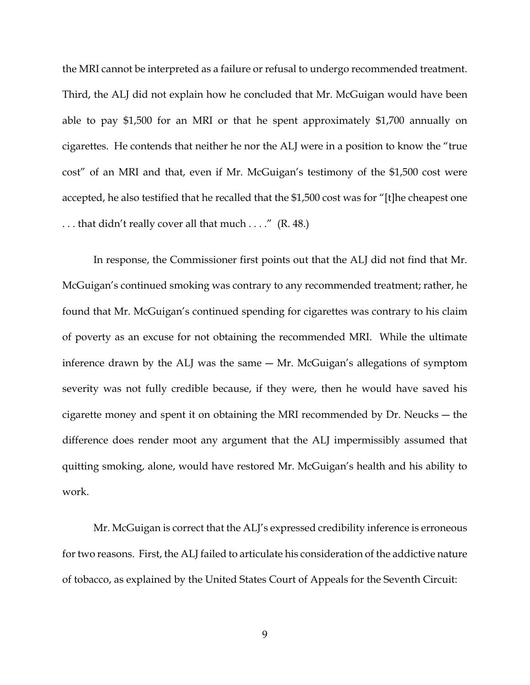the MRI cannot be interpreted as a failure or refusal to undergo recommended treatment. Third, the ALJ did not explain how he concluded that Mr. McGuigan would have been able to pay \$1,500 for an MRI or that he spent approximately \$1,700 annually on cigarettes. He contends that neither he nor the ALJ were in a position to know the "true cost" of an MRI and that, even if Mr. McGuigan's testimony of the \$1,500 cost were accepted, he also testified that he recalled that the \$1,500 cost was for "[t]he cheapest one . . . that didn't really cover all that much . . . ." (R. 48.)

 In response, the Commissioner first points out that the ALJ did not find that Mr. McGuigan's continued smoking was contrary to any recommended treatment; rather, he found that Mr. McGuigan's continued spending for cigarettes was contrary to his claim of poverty as an excuse for not obtaining the recommended MRI. While the ultimate inference drawn by the ALJ was the same ― Mr. McGuigan's allegations of symptom severity was not fully credible because, if they were, then he would have saved his cigarette money and spent it on obtaining the MRI recommended by Dr. Neucks ― the difference does render moot any argument that the ALJ impermissibly assumed that quitting smoking, alone, would have restored Mr. McGuigan's health and his ability to work.

Mr. McGuigan is correct that the ALJ's expressed credibility inference is erroneous for two reasons. First, the ALJ failed to articulate his consideration of the addictive nature of tobacco, as explained by the United States Court of Appeals for the Seventh Circuit: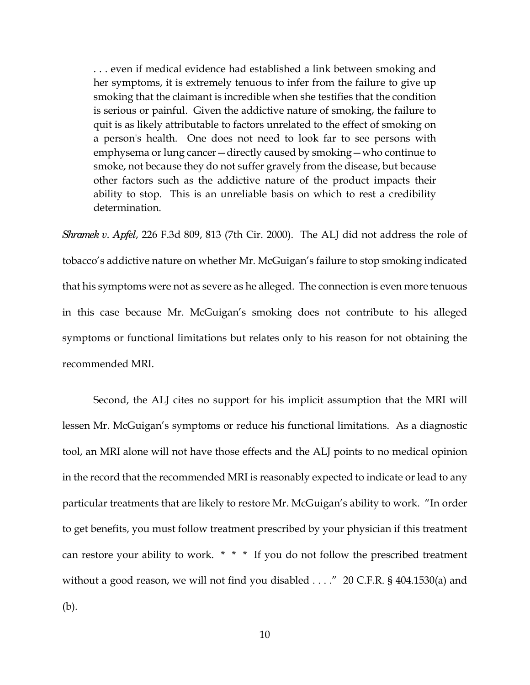. . . even if medical evidence had established a link between smoking and her symptoms, it is extremely tenuous to infer from the failure to give up smoking that the claimant is incredible when she testifies that the condition is serious or painful. Given the addictive nature of smoking, the failure to quit is as likely attributable to factors unrelated to the effect of smoking on a person's health. One does not need to look far to see persons with emphysema or lung cancer—directly caused by smoking—who continue to smoke, not because they do not suffer gravely from the disease, but because other factors such as the addictive nature of the product impacts their ability to stop. This is an unreliable basis on which to rest a credibility determination.

*Shramek v. Apfel*, 226 F.3d 809, 813 (7th Cir. 2000). The ALJ did not address the role of tobacco's addictive nature on whether Mr. McGuigan's failure to stop smoking indicated that his symptoms were not as severe as he alleged. The connection is even more tenuous in this case because Mr. McGuigan's smoking does not contribute to his alleged symptoms or functional limitations but relates only to his reason for not obtaining the recommended MRI.

 Second, the ALJ cites no support for his implicit assumption that the MRI will lessen Mr. McGuigan's symptoms or reduce his functional limitations. As a diagnostic tool, an MRI alone will not have those effects and the ALJ points to no medical opinion in the record that the recommended MRI is reasonably expected to indicate or lead to any particular treatments that are likely to restore Mr. McGuigan's ability to work. "In order to get benefits, you must follow treatment prescribed by your physician if this treatment can restore your ability to work. \* \* \* If you do not follow the prescribed treatment without a good reason, we will not find you disabled . . . ." 20 C.F.R. § 404.1530(a) and (b).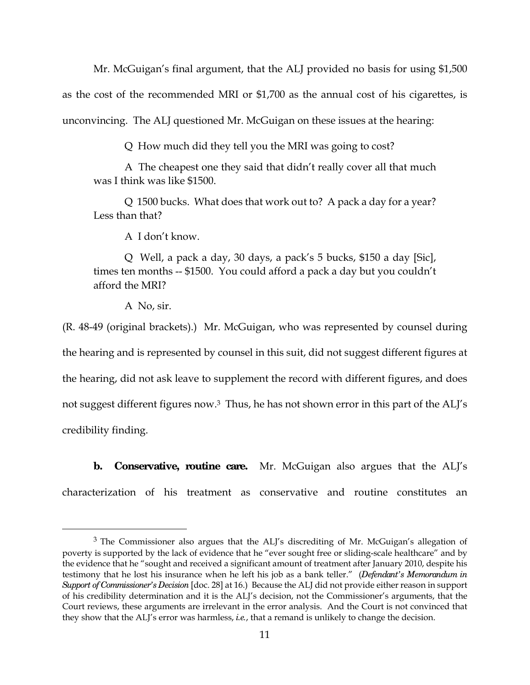Mr. McGuigan's final argument, that the ALJ provided no basis for using \$1,500

as the cost of the recommended MRI or \$1,700 as the annual cost of his cigarettes, is

unconvincing. The ALJ questioned Mr. McGuigan on these issues at the hearing:

Q How much did they tell you the MRI was going to cost?

 A The cheapest one they said that didn't really cover all that much was I think was like \$1500.

 Q 1500 bucks. What does that work out to? A pack a day for a year? Less than that?

A I don't know.

 Q Well, a pack a day, 30 days, a pack's 5 bucks, \$150 a day [Sic], times ten months -- \$1500. You could afford a pack a day but you couldn't afford the MRI?

A No, sir.

 $\overline{a}$ 

(R. 48-49 (original brackets).) Mr. McGuigan, who was represented by counsel during the hearing and is represented by counsel in this suit, did not suggest different figures at the hearing, did not ask leave to supplement the record with different figures, and does not suggest different figures now.<sup>3</sup> Thus, he has not shown error in this part of the ALJ's credibility finding.

**b.** Conservative, routine care. Mr. McGuigan also argues that the ALJ's characterization of his treatment as conservative and routine constitutes an

<sup>&</sup>lt;sup>3</sup> The Commissioner also argues that the ALJ's discrediting of Mr. McGuigan's allegation of poverty is supported by the lack of evidence that he "ever sought free or sliding-scale healthcare" and by the evidence that he "sought and received a significant amount of treatment after January 2010, despite his testimony that he lost his insurance when he left his job as a bank teller." (*Defendant's Memorandum in Support of Commissioner's Decision* [doc. 28] at 16.) Because the ALJ did not provide either reason in support of his credibility determination and it is the ALJ's decision, not the Commissioner's arguments, that the Court reviews, these arguments are irrelevant in the error analysis. And the Court is not convinced that they show that the ALJ's error was harmless, *i.e.*, that a remand is unlikely to change the decision.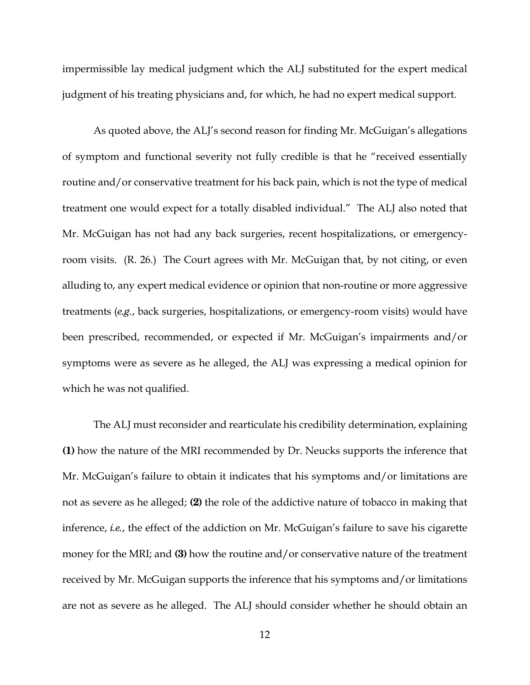impermissible lay medical judgment which the ALJ substituted for the expert medical judgment of his treating physicians and, for which, he had no expert medical support.

 As quoted above, the ALJ's second reason for finding Mr. McGuigan's allegations of symptom and functional severity not fully credible is that he "received essentially routine and/or conservative treatment for his back pain, which is not the type of medical treatment one would expect for a totally disabled individual." The ALJ also noted that Mr. McGuigan has not had any back surgeries, recent hospitalizations, or emergencyroom visits. (R. 26.) The Court agrees with Mr. McGuigan that, by not citing, or even alluding to, any expert medical evidence or opinion that non-routine or more aggressive treatments (*e.g.*, back surgeries, hospitalizations, or emergency-room visits) would have been prescribed, recommended, or expected if Mr. McGuigan's impairments and/or symptoms were as severe as he alleged, the ALJ was expressing a medical opinion for which he was not qualified.

 The ALJ must reconsider and rearticulate his credibility determination, explaining **(1)** how the nature of the MRI recommended by Dr. Neucks supports the inference that Mr. McGuigan's failure to obtain it indicates that his symptoms and/or limitations are not as severe as he alleged; **(2)** the role of the addictive nature of tobacco in making that inference, *i.e.*, the effect of the addiction on Mr. McGuigan's failure to save his cigarette money for the MRI; and **(3)** how the routine and/or conservative nature of the treatment received by Mr. McGuigan supports the inference that his symptoms and/or limitations are not as severe as he alleged. The ALJ should consider whether he should obtain an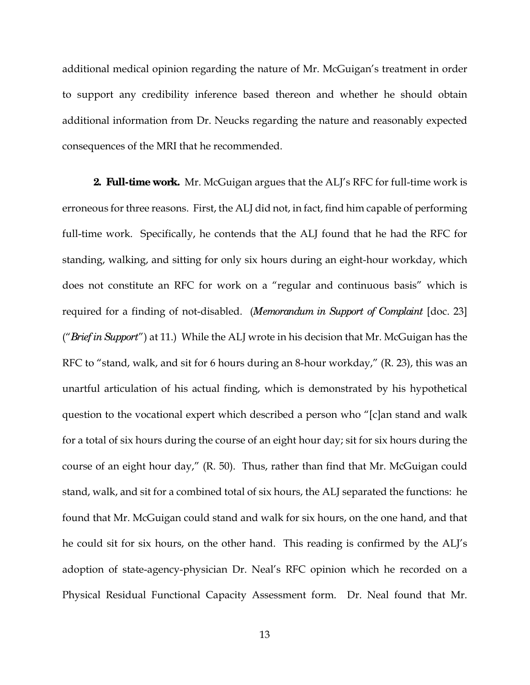additional medical opinion regarding the nature of Mr. McGuigan's treatment in order to support any credibility inference based thereon and whether he should obtain additional information from Dr. Neucks regarding the nature and reasonably expected consequences of the MRI that he recommended.

**2. Full-time work.** Mr. McGuigan argues that the ALJ's RFC for full-time work is erroneous for three reasons. First, the ALJ did not, in fact, find him capable of performing full-time work. Specifically, he contends that the ALJ found that he had the RFC for standing, walking, and sitting for only six hours during an eight-hour workday, which does not constitute an RFC for work on a "regular and continuous basis" which is required for a finding of not-disabled. (*Memorandum in Support of Complaint* [doc. 23] ("*Brief in Support*") at 11.) While the ALJ wrote in his decision that Mr. McGuigan has the RFC to "stand, walk, and sit for 6 hours during an 8-hour workday," (R. 23), this was an unartful articulation of his actual finding, which is demonstrated by his hypothetical question to the vocational expert which described a person who "[c]an stand and walk for a total of six hours during the course of an eight hour day; sit for six hours during the course of an eight hour day," (R. 50). Thus, rather than find that Mr. McGuigan could stand, walk, and sit for a combined total of six hours, the ALJ separated the functions: he found that Mr. McGuigan could stand and walk for six hours, on the one hand, and that he could sit for six hours, on the other hand. This reading is confirmed by the ALJ's adoption of state-agency-physician Dr. Neal's RFC opinion which he recorded on a Physical Residual Functional Capacity Assessment form. Dr. Neal found that Mr.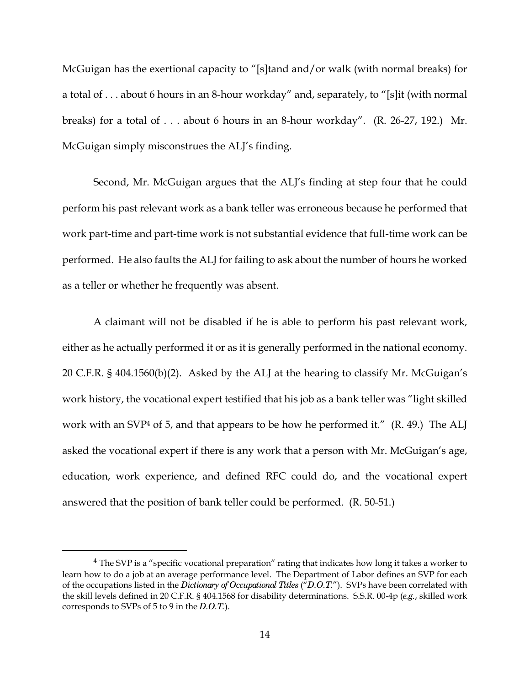McGuigan has the exertional capacity to "[s]tand and/or walk (with normal breaks) for a total of . . . about 6 hours in an 8-hour workday" and, separately, to "[s]it (with normal breaks) for a total of . . . about 6 hours in an 8-hour workday". (R. 26-27, 192.) Mr. McGuigan simply misconstrues the ALJ's finding.

Second, Mr. McGuigan argues that the ALJ's finding at step four that he could perform his past relevant work as a bank teller was erroneous because he performed that work part-time and part-time work is not substantial evidence that full-time work can be performed. He also faults the ALJ for failing to ask about the number of hours he worked as a teller or whether he frequently was absent.

A claimant will not be disabled if he is able to perform his past relevant work, either as he actually performed it or as it is generally performed in the national economy. 20 C.F.R. § 404.1560(b)(2). Asked by the ALJ at the hearing to classify Mr. McGuigan's work history, the vocational expert testified that his job as a bank teller was "light skilled work with an SVP<sup>4</sup> of 5, and that appears to be how he performed it." (R. 49.) The ALJ asked the vocational expert if there is any work that a person with Mr. McGuigan's age, education, work experience, and defined RFC could do, and the vocational expert answered that the position of bank teller could be performed. (R. 50-51.)

 $\overline{a}$ 

<sup>&</sup>lt;sup>4</sup> The SVP is a "specific vocational preparation" rating that indicates how long it takes a worker to learn how to do a job at an average performance level. The Department of Labor defines an SVP for each of the occupations listed in the *Dictionary of Occupational Titles* ("*D.O.T.*"). SVPs have been correlated with the skill levels defined in 20 C.F.R. § 404.1568 for disability determinations. S.S.R. 00-4p (*e.g.*, skilled work corresponds to SVPs of 5 to 9 in the *D.O.T.*).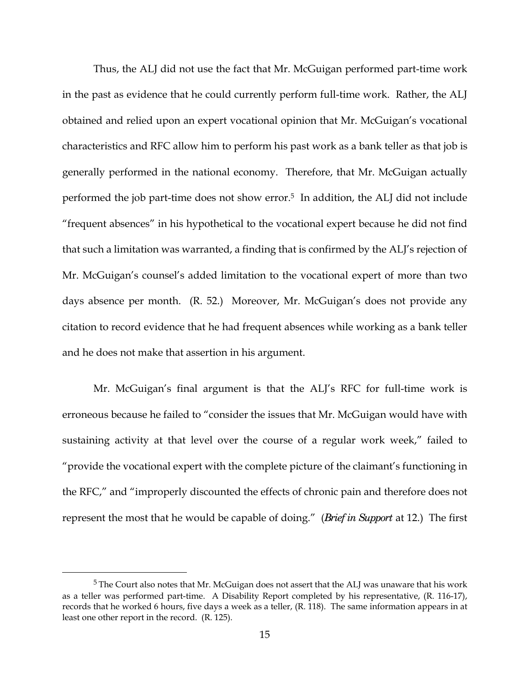Thus, the ALJ did not use the fact that Mr. McGuigan performed part-time work in the past as evidence that he could currently perform full-time work. Rather, the ALJ obtained and relied upon an expert vocational opinion that Mr. McGuigan's vocational characteristics and RFC allow him to perform his past work as a bank teller as that job is generally performed in the national economy. Therefore, that Mr. McGuigan actually performed the job part-time does not show error.<sup>5</sup> In addition, the ALJ did not include "frequent absences" in his hypothetical to the vocational expert because he did not find that such a limitation was warranted, a finding that is confirmed by the ALJ's rejection of Mr. McGuigan's counsel's added limitation to the vocational expert of more than two days absence per month. (R. 52.) Moreover, Mr. McGuigan's does not provide any citation to record evidence that he had frequent absences while working as a bank teller and he does not make that assertion in his argument.

Mr. McGuigan's final argument is that the ALJ's RFC for full-time work is erroneous because he failed to "consider the issues that Mr. McGuigan would have with sustaining activity at that level over the course of a regular work week," failed to "provide the vocational expert with the complete picture of the claimant's functioning in the RFC," and "improperly discounted the effects of chronic pain and therefore does not represent the most that he would be capable of doing." (*Brief in Support* at 12.) The first

 $\overline{a}$ 

<sup>&</sup>lt;sup>5</sup> The Court also notes that Mr. McGuigan does not assert that the ALJ was unaware that his work as a teller was performed part-time. A Disability Report completed by his representative, (R. 116-17), records that he worked 6 hours, five days a week as a teller, (R. 118). The same information appears in at least one other report in the record. (R. 125).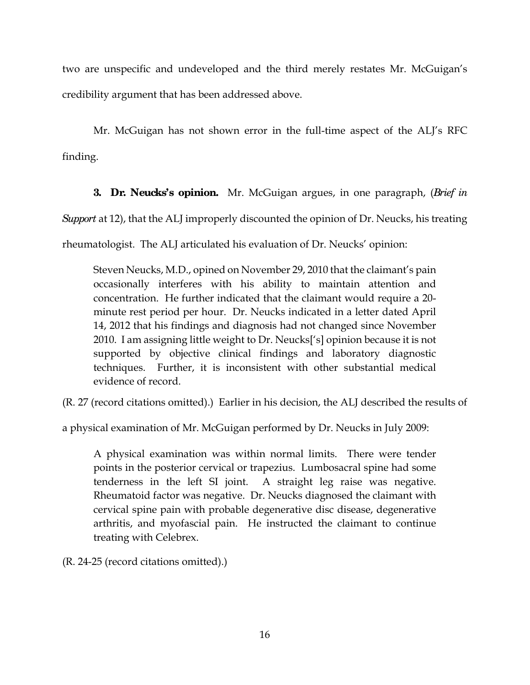two are unspecific and undeveloped and the third merely restates Mr. McGuigan's credibility argument that has been addressed above.

Mr. McGuigan has not shown error in the full-time aspect of the ALJ's RFC finding.

**3. Dr. Neucks's opinion.** Mr. McGuigan argues, in one paragraph, (*Brief in Support* at 12), that the ALJ improperly discounted the opinion of Dr. Neucks, his treating rheumatologist. The ALJ articulated his evaluation of Dr. Neucks' opinion:

Steven Neucks, M.D., opined on November 29, 2010 that the claimant's pain occasionally interferes with his ability to maintain attention and concentration. He further indicated that the claimant would require a 20 minute rest period per hour. Dr. Neucks indicated in a letter dated April 14, 2012 that his findings and diagnosis had not changed since November 2010. I am assigning little weight to Dr. Neucks['s] opinion because it is not supported by objective clinical findings and laboratory diagnostic techniques. Further, it is inconsistent with other substantial medical evidence of record.

(R. 27 (record citations omitted).) Earlier in his decision, the ALJ described the results of

a physical examination of Mr. McGuigan performed by Dr. Neucks in July 2009:

A physical examination was within normal limits. There were tender points in the posterior cervical or trapezius. Lumbosacral spine had some tenderness in the left SI joint. A straight leg raise was negative. Rheumatoid factor was negative. Dr. Neucks diagnosed the claimant with cervical spine pain with probable degenerative disc disease, degenerative arthritis, and myofascial pain. He instructed the claimant to continue treating with Celebrex.

(R. 24-25 (record citations omitted).)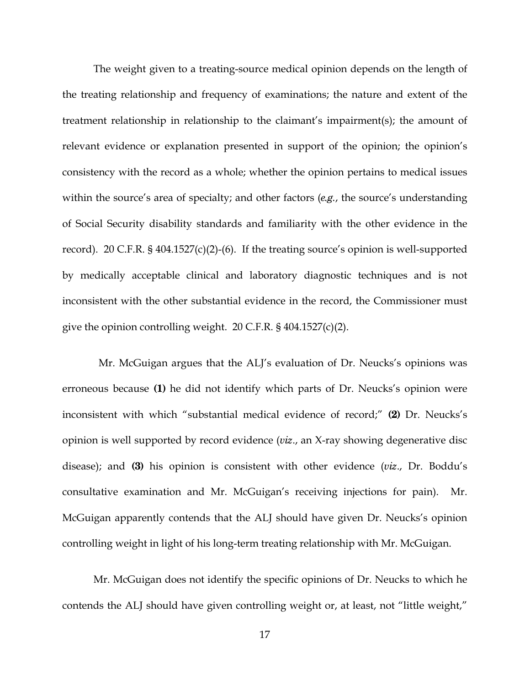The weight given to a treating-source medical opinion depends on the length of the treating relationship and frequency of examinations; the nature and extent of the treatment relationship in relationship to the claimant's impairment(s); the amount of relevant evidence or explanation presented in support of the opinion; the opinion's consistency with the record as a whole; whether the opinion pertains to medical issues within the source's area of specialty; and other factors (*e.g.*, the source's understanding of Social Security disability standards and familiarity with the other evidence in the record). 20 C.F.R. § 404.1527(c)(2)-(6). If the treating source's opinion is well-supported by medically acceptable clinical and laboratory diagnostic techniques and is not inconsistent with the other substantial evidence in the record, the Commissioner must give the opinion controlling weight. 20 C.F.R. § 404.1527(c)(2).

 Mr. McGuigan argues that the ALJ's evaluation of Dr. Neucks's opinions was erroneous because **(1)** he did not identify which parts of Dr. Neucks's opinion were inconsistent with which "substantial medical evidence of record;" **(2)** Dr. Neucks's opinion is well supported by record evidence (*viz*., an X-ray showing degenerative disc disease); and **(3)** his opinion is consistent with other evidence (*viz*., Dr. Boddu's consultative examination and Mr. McGuigan's receiving injections for pain). Mr. McGuigan apparently contends that the ALJ should have given Dr. Neucks's opinion controlling weight in light of his long-term treating relationship with Mr. McGuigan.

 Mr. McGuigan does not identify the specific opinions of Dr. Neucks to which he contends the ALJ should have given controlling weight or, at least, not "little weight,"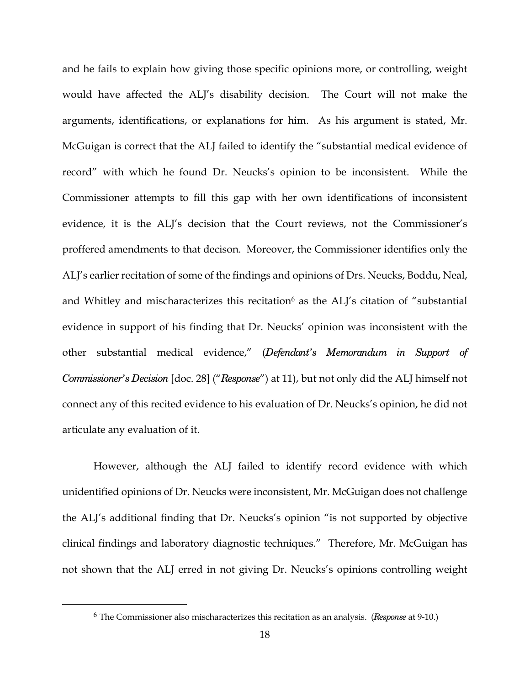and he fails to explain how giving those specific opinions more, or controlling, weight would have affected the ALJ's disability decision. The Court will not make the arguments, identifications, or explanations for him. As his argument is stated, Mr. McGuigan is correct that the ALJ failed to identify the "substantial medical evidence of record" with which he found Dr. Neucks's opinion to be inconsistent. While the Commissioner attempts to fill this gap with her own identifications of inconsistent evidence, it is the ALJ's decision that the Court reviews, not the Commissioner's proffered amendments to that decison. Moreover, the Commissioner identifies only the ALJ's earlier recitation of some of the findings and opinions of Drs. Neucks, Boddu, Neal, and Whitley and mischaracterizes this recitation $\mathfrak s$  as the ALJ's citation of "substantial evidence in support of his finding that Dr. Neucks' opinion was inconsistent with the other substantial medical evidence," (*Defendant's Memorandum in Support of Commissioner's Decision* [doc. 28] ("*Response*") at 11), but not only did the ALJ himself not connect any of this recited evidence to his evaluation of Dr. Neucks's opinion, he did not articulate any evaluation of it.

 However, although the ALJ failed to identify record evidence with which unidentified opinions of Dr. Neucks were inconsistent, Mr. McGuigan does not challenge the ALJ's additional finding that Dr. Neucks's opinion "is not supported by objective clinical findings and laboratory diagnostic techniques." Therefore, Mr. McGuigan has not shown that the ALJ erred in not giving Dr. Neucks's opinions controlling weight

 $\overline{a}$ 

<sup>6</sup> The Commissioner also mischaracterizes this recitation as an analysis. (*Response* at 9-10.)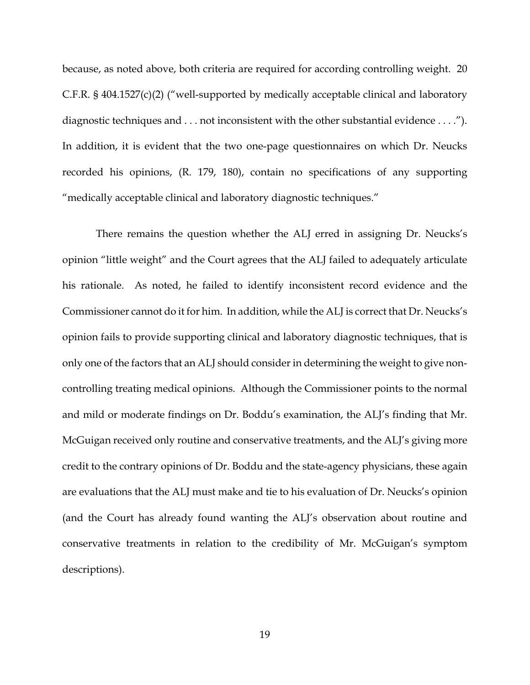because, as noted above, both criteria are required for according controlling weight. 20 C.F.R. § 404.1527(c)(2) ("well-supported by medically acceptable clinical and laboratory diagnostic techniques and . . . not inconsistent with the other substantial evidence . . . ."). In addition, it is evident that the two one-page questionnaires on which Dr. Neucks recorded his opinions, (R. 179, 180), contain no specifications of any supporting "medically acceptable clinical and laboratory diagnostic techniques."

 There remains the question whether the ALJ erred in assigning Dr. Neucks's opinion "little weight" and the Court agrees that the ALJ failed to adequately articulate his rationale. As noted, he failed to identify inconsistent record evidence and the Commissioner cannot do it for him. In addition, while the ALJ is correct that Dr. Neucks's opinion fails to provide supporting clinical and laboratory diagnostic techniques, that is only one of the factors that an ALJ should consider in determining the weight to give noncontrolling treating medical opinions. Although the Commissioner points to the normal and mild or moderate findings on Dr. Boddu's examination, the ALJ's finding that Mr. McGuigan received only routine and conservative treatments, and the ALJ's giving more credit to the contrary opinions of Dr. Boddu and the state-agency physicians, these again are evaluations that the ALJ must make and tie to his evaluation of Dr. Neucks's opinion (and the Court has already found wanting the ALJ's observation about routine and conservative treatments in relation to the credibility of Mr. McGuigan's symptom descriptions).